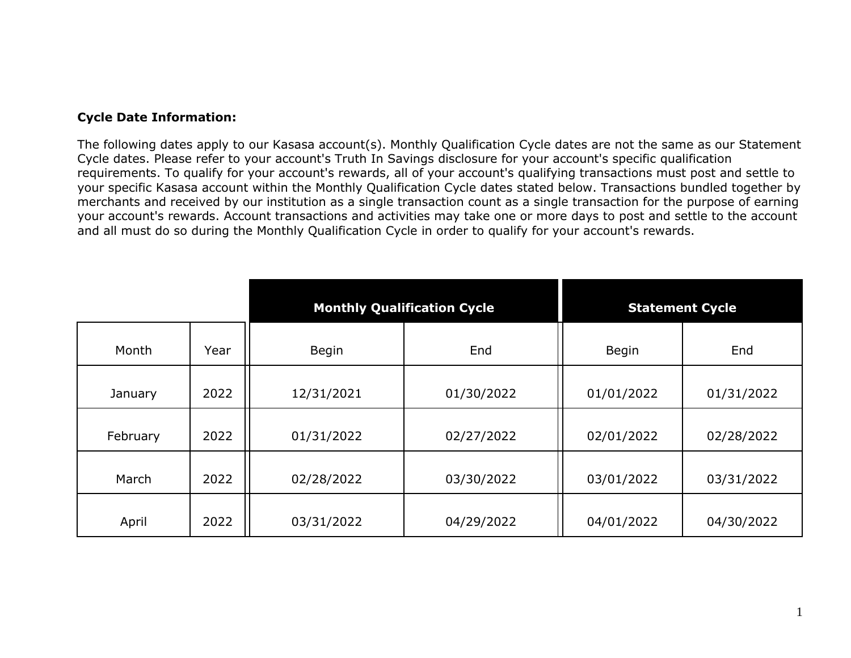## **Cycle Date Information:**

The following dates apply to our Kasasa account(s). Monthly Qualification Cycle dates are not the same as our Statement Cycle dates. Please refer to your account's Truth In Savings disclosure for your account's specific qualification requirements. To qualify for your account's rewards, all of your account's qualifying transactions must post and settle to your specific Kasasa account within the Monthly Qualification Cycle dates stated below. Transactions bundled together by merchants and received by our institution as a single transaction count as a single transaction for the purpose of earning your account's rewards. Account transactions and activities may take one or more days to post and settle to the account and all must do so during the Monthly Qualification Cycle in order to qualify for your account's rewards.

|          |      | <b>Monthly Qualification Cycle</b> |            | <b>Statement Cycle</b> |            |
|----------|------|------------------------------------|------------|------------------------|------------|
| Month    | Year | <b>Begin</b>                       | End        | <b>Begin</b>           | End        |
| January  | 2022 | 12/31/2021                         | 01/30/2022 | 01/01/2022             | 01/31/2022 |
| February | 2022 | 01/31/2022                         | 02/27/2022 | 02/01/2022             | 02/28/2022 |
| March    | 2022 | 02/28/2022                         | 03/30/2022 | 03/01/2022             | 03/31/2022 |
| April    | 2022 | 03/31/2022                         | 04/29/2022 | 04/01/2022             | 04/30/2022 |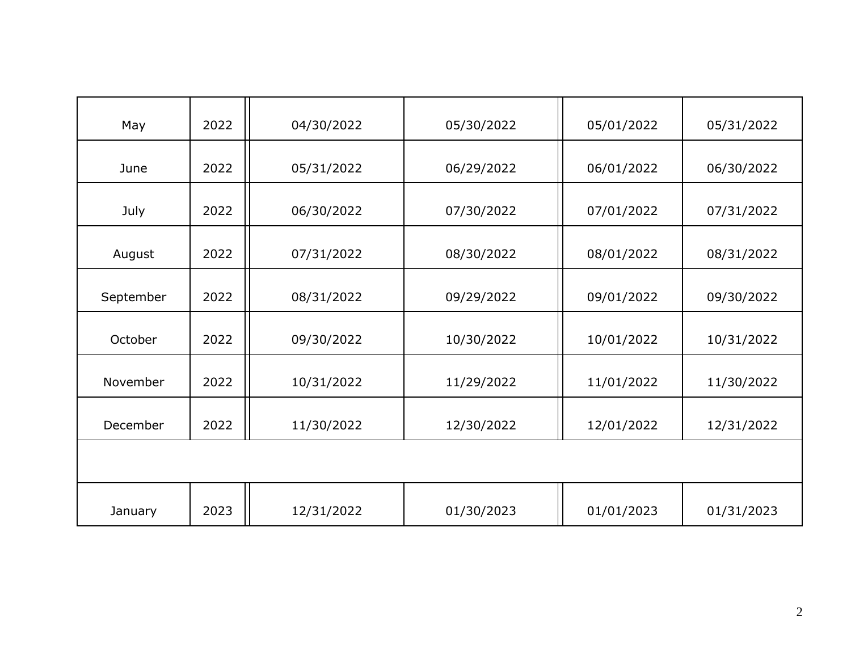| May       | 2022 | 04/30/2022 | 05/30/2022 | 05/01/2022 | 05/31/2022 |
|-----------|------|------------|------------|------------|------------|
| June      | 2022 | 05/31/2022 | 06/29/2022 | 06/01/2022 | 06/30/2022 |
| July      | 2022 | 06/30/2022 | 07/30/2022 | 07/01/2022 | 07/31/2022 |
| August    | 2022 | 07/31/2022 | 08/30/2022 | 08/01/2022 | 08/31/2022 |
| September | 2022 | 08/31/2022 | 09/29/2022 | 09/01/2022 | 09/30/2022 |
| October   | 2022 | 09/30/2022 | 10/30/2022 | 10/01/2022 | 10/31/2022 |
| November  | 2022 | 10/31/2022 | 11/29/2022 | 11/01/2022 | 11/30/2022 |
| December  | 2022 | 11/30/2022 | 12/30/2022 | 12/01/2022 | 12/31/2022 |
|           |      |            |            |            |            |
| January   | 2023 | 12/31/2022 | 01/30/2023 | 01/01/2023 | 01/31/2023 |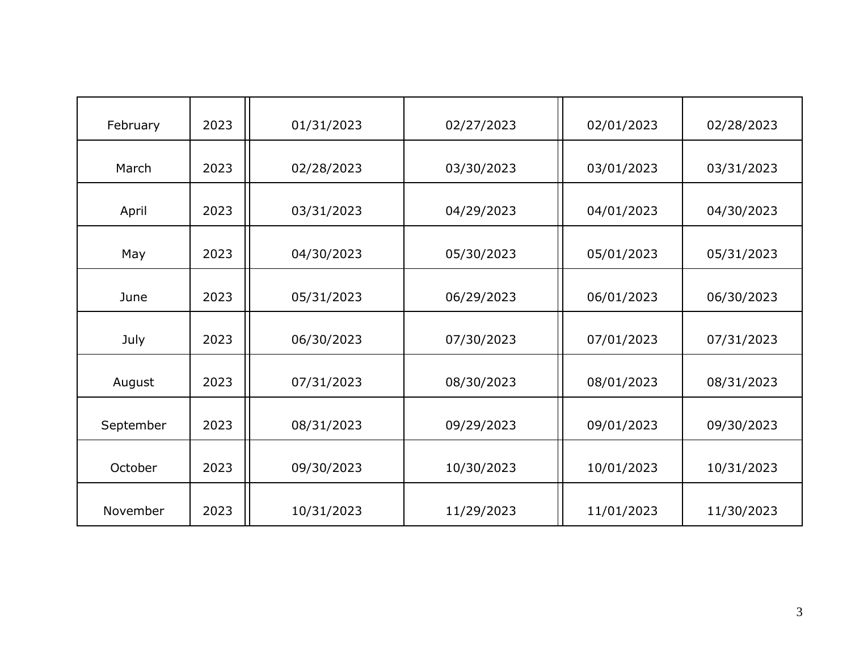| February  | 2023 | 01/31/2023 | 02/27/2023 | 02/01/2023 | 02/28/2023 |
|-----------|------|------------|------------|------------|------------|
| March     | 2023 | 02/28/2023 | 03/30/2023 | 03/01/2023 | 03/31/2023 |
| April     | 2023 | 03/31/2023 | 04/29/2023 | 04/01/2023 | 04/30/2023 |
| May       | 2023 | 04/30/2023 | 05/30/2023 | 05/01/2023 | 05/31/2023 |
| June      | 2023 | 05/31/2023 | 06/29/2023 | 06/01/2023 | 06/30/2023 |
| July      | 2023 | 06/30/2023 | 07/30/2023 | 07/01/2023 | 07/31/2023 |
| August    | 2023 | 07/31/2023 | 08/30/2023 | 08/01/2023 | 08/31/2023 |
| September | 2023 | 08/31/2023 | 09/29/2023 | 09/01/2023 | 09/30/2023 |
| October   | 2023 | 09/30/2023 | 10/30/2023 | 10/01/2023 | 10/31/2023 |
| November  | 2023 | 10/31/2023 | 11/29/2023 | 11/01/2023 | 11/30/2023 |